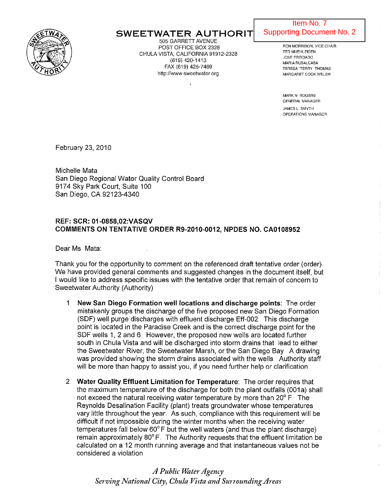

## SWEETWATER AUTHORIT

505 GARRETT AVENUE POST OFFICE BOX 2328 CHULA VISTA, CALIFORNIA 91912-2328 (619) 420-1413 FAX (619) 425-7469 http://www.sweetwater.org

### Supporting Document No. 2 Item No. 7

RON MORRISON, VICE CHAIR TED MUEHLEISEN JOSE PRECIADO MARIA RUBALCABA TERESA "TERRY THOMAS MARGARET COOK WELSH

W 0 'BUD' POCKLINGTON, CHAIR POCKLINGTON, CHAIR POCKLINGTON, CHAIR POCKLINGTON, CHAIR POCKLINGTON, CHAIR POCKL

MARK N ROGERS GENERAL MANAGER

JAMES l SMYTH OPERATIONS MANAGER

February 23, 2010

Michelle Mata San Diego Regional Water Quality Control Board 9174 Sky Park Court, Suite 100 San Diego, CA 92123-4340

#### REF: SCR: 01-0858,02:VASQV COMMENTS ON TENTATIVE ORDER R9-2010-0012, NPDES NO. CA0108952

Dear Ms. Mata:

Thank you for the opportunity to comment on the referenced draft tentative order (order) .. We have provided general comments and suggested changes in the document itself, but I would like to address specific issues with the tentative order that remain of concern to Sweetwater Authority (Authority)

- 1 New San Diego Formation well locations and discharge points: The order mistakenly groups the discharge of the five proposed new San Diego Formation (SDF) well purge discharges with effluent discharge Eff-002. This discharge point is located in the Paradise Creek and is the correct discharge point for the SDF wells 1, 2 and 6. However, the proposed new wells are located further south in Chula Vista and will be discharged into storm drains that lead to either the Sweetwater River, the Sweetwater Marsh, or the San Diego Bay A drawing was provided showing the storm drains associated with the wells. Authority staff will be more than happy to assist you, if you need further help or clarification.
- 2. Water Quality Effluent Limitation for Temperature: The order requires that the maximum temperature of the discharge for both the plant outfalls (001a) shall not exceed the natural receiving water temperature by more than  $20^{\circ}$  F. The Reynolds Desalination Facility (plant) treats groundwater whose temperatures vary little throughout the year. As such, compliance with this requirement will be difficult if not impossible during the winter months when the receiving water temperatures fall below  $60^{\circ}$  F but the well waters (and thus the plant discharge) remain approximately  $80^{\circ}$  F. The Authority requests that the effluent limitation be calculated on a 12 month running average and that instantaneous values not be considered a violation

*A Public U1aterAgency Serving National City, Chula Vilta and Surrounding Areas*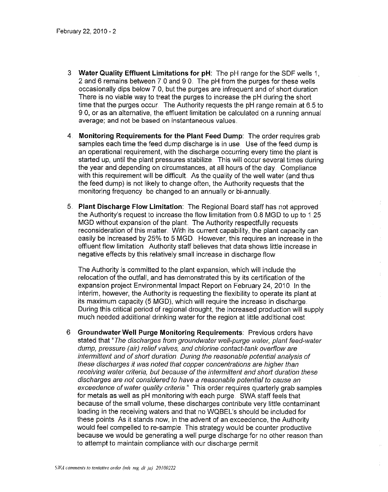- 3 Water Quality Effluent Limitations for pH: The pH range for the SDF wells 1, 2 and 6 remains between 7,0 and g,O, The pH from the purges for these wells occasionally dips below 7,0, but the purges are infrequent and of short duration There is no viable way to treat the purges to increase the pH during the short time that the purges occur, The Authority requests the pH range remain at 6,5 to g,O, or as an alternative, the effluent limitation be calculated on a running annual average; and not be based on instantaneous values,
- 4, Monitoring Requirements for the Plant Feed Dump: The order requires grab samples each time the feed dump discharge is in use, Use of the feed dump is an operational requirement, with the discharge occurring every time the plant is started up, until the plant pressures stabilize This will occur several times during the year and depending on circumstances, at all hours of the day, Compliance with this requirement will be difficult. As the quality of the well water (and thus the feed dump) is not likely to change often, the Authority requests that the monitoring frequency be changed to an annually or bi-annually.
- 5, Plant Discharge Flow Limitation: The Regional Board staff has not approved the Authority's request to increase the flow limitation from 0.8 MGD to up to 1 25 MGD without expansion of the plant. The Authority respectfully requests reconsideration of this matter, With its current capability, the plant capacity can easily be increased by 25% to 5 MGD. However, this requires an increase in the effluent flow limitation, Authority staff believes that data shows little increase in negative effects by this relatively small increase in discharge flow

The Authority is committed to the plant expansion, which will include the relocation of the outfall, and has demonstrated this by its certification of the expansion project Environmental Impact Report on February 24, 2010, In the interim, however, the Authority is requesting the flexibility to operate its plant at its maximum capacity (5 MGD), which will require the increase in discharge During this critical period of regional drought, the increased production will supply much needed additional drinking water for the region at little additional cost

6 Groundwater Well Purge Monitoring Requirements: Previous orders have stated that "The discharges from groundwater well-purge water, plant feed-water dump, pressure (air) relief valves, and chlorine contact-tank overflow are intermittent and of short duration. During the reasonable potential analysis of these discharges it was noted that copper concentrations are higher than receiving water criteria, but because of the intermittent and short duration these discharges are not considered to have a reasonable potential to cause an exceedence of water quality criteria." This order requires quarterly grab samples for metals as well as pH monitoring with each purge, SWA staff feels that because of the small volume, these discharges contribute very little contaminant loading in the receiving waters and that no WQBEL's should be included for these points, As it stands now, in the advent of an exceedence, the Authority would feel compelled to re-sample, This strategy would be counter productive because we would be generating a well purge discharge for no other reason than to attempt to maintain compliance with our discharge permit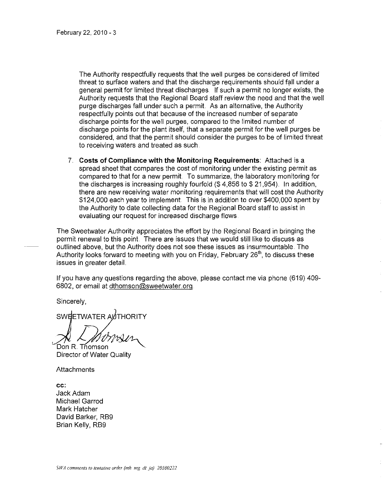The Authority respectfully requests that the well purges be considered of limited threat to surface waters and that the discharge requirements should fall under a general permit for limited threat discharges. If such a permit no longer exists, the Authority requests that the Regional Board staff review the need and that the well purge discharges fall under such a permit. As an alternative, the Authority respectfully points out that because of the increased number of separate discharge points for the well purges, compared to the limited number of discharge points for the plant itself, that a separate permit for the well purges be considered, and that the permit should consider the purges to be of limited threat to receiving waters and treated as such

7. Costs of Compliance with the Monitoring Requirements: Attached is a spread sheet that compares the cost of monitoring under the existing permit as compared to that for a new permit. To summarize, the laboratory monitoring for the discharges is increasing roughly fourfold (\$ 4,856 to \$ 21,954). In addition, there are new receiving water monitoring requirements that will cost the Authority \$124,000 each year to implement. This is in addition to over \$400,000 spent by the Authority to date collecting data for the Regional Board staff to assist in evaluating our request for increased discharge flows

The Sweetwater Authority appreciates the effort by the Regional Board in bringing the permit renewal to this point. There are issues that we would still like to discuss as outlined above, but the Authority does not see these issues as insurmountable The Authority looks forward to meeting with you on Friday, February  $26<sup>th</sup>$ , to discuss these issues in greater detail.

If you have any questions regarding the above, please contact me via phone (619) 409- 6802, or email at dthomson@sweetwater.org.

Sincerely,

SWEETWATER AUTHORITY

 $\mathsf{DonR}$  . Thomson

Director of Water Quality

Attachments

cc: Jack Adam Michael Garrod Mark Hatcher David Barker, RB9 Brian Kelly, RB9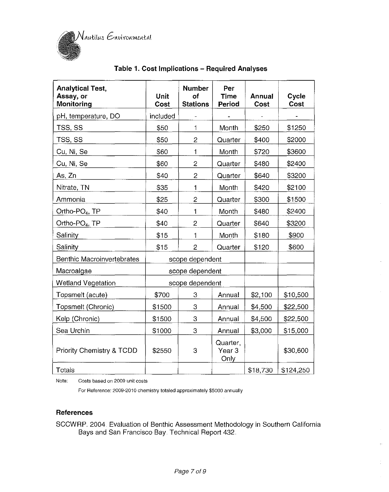

| <b>Analytical Test,</b><br>Assay, or<br>Monitoring | Unit<br>Cost | <b>Number</b><br>of<br><b>Stations</b> | Per<br><b>Time</b><br>Period          | Annual<br>Cost | Cycle<br>Cost |
|----------------------------------------------------|--------------|----------------------------------------|---------------------------------------|----------------|---------------|
| pH, temperature, DO                                | included     |                                        |                                       |                |               |
| TSS, SS                                            | \$50         | 1                                      | Month                                 | \$250          | \$1250        |
| TSS, SS                                            | \$50         | $\overline{c}$                         | \$400<br>Quarter                      |                | \$2000        |
| Cu, Ni, Se                                         | \$60         | 1                                      | Month                                 | \$720          | \$3600        |
| Cu, Ni, Se                                         | \$60         | $\overline{c}$                         | Quarter                               | \$480          | \$2400        |
| As, Zn                                             | \$40         | $\overline{c}$                         | \$640<br>Quarter                      |                | \$3200        |
| Nitrate, TN                                        | \$35         | $\mathbf{1}$                           | Month                                 | \$420          | \$2100        |
| Ammonia                                            | \$25         | 2                                      | Quarter                               | \$300          | \$1500        |
| Ortho-PO <sub>4</sub> , TP                         | \$40         | $\mathbf{1}$                           | Month                                 | \$480          | \$2400        |
| Ortho-PO <sub>4</sub> , TP                         | \$40         | $\overline{2}$                         | \$640<br>Quarter                      |                | \$3200        |
| Salinity                                           | \$15         | 1                                      | Month                                 | \$180          | \$900         |
| Salinity                                           | \$15         | $\overline{c}$                         | Quarter                               | \$120          | \$600         |
| <b>Benthic Macroinvertebrates</b>                  |              | scope dependent                        |                                       |                |               |
| Macroalgae                                         |              | scope dependent                        |                                       |                |               |
| Wetland Vegetation                                 |              | scope dependent                        |                                       |                |               |
| Topsmelt (acute)                                   | \$700        | 3                                      | Annual                                | \$2,100        | \$10,500      |
| Topsmelt (Chronic)                                 | \$1500       | 3                                      | Annual                                | \$4,500        | \$22,500      |
| Kelp (Chronic)                                     | \$1500       | 3                                      | Annual                                | \$4,500        | \$22,500      |
| Sea Urchin                                         | \$1000       | 3                                      | Annual                                | \$3,000        | \$15,000      |
| Priority Chemistry & TCDD                          | \$2550       | 3                                      | Quarter,<br>Year <sub>3</sub><br>Only |                | \$30,600      |
| Totals                                             |              |                                        |                                       | \$18,730       | \$124,250     |

## **Table 1" Cost Implications - Required Analyses**

**Note: Costs based on 2009 unit costs** 

**For Reference: 2009-2010 chemistry totaled approximately \$5000 annually** 

#### **References**

SCCWRP. 2004. Evaluation of Benthic Assessment Methodology in Southern California Bays and San Francisco Bay. Technical Report 432.

ţ.